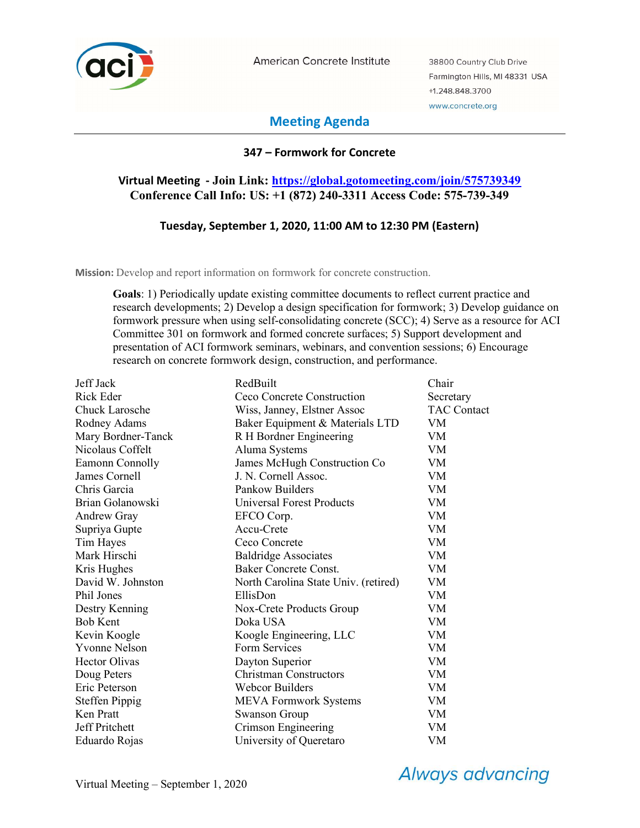

American Concrete Institute

38800 Country Club Drive Farmington Hills, MI 48331 USA +1.248.848.3700 www.concrete.org

# Meeting Agenda

## 347 – Formwork for Concrete

# Virtual Meeting - Join Link: https://global.gotomeeting.com/join/575739349 Conference Call Info: US: +1 (872) 240-3311 Access Code: 575-739-349

### Tuesday, September 1, 2020, 11:00 AM to 12:30 PM (Eastern)

Mission: Develop and report information on formwork for concrete construction.

Goals: 1) Periodically update existing committee documents to reflect current practice and research developments; 2) Develop a design specification for formwork; 3) Develop guidance on formwork pressure when using self-consolidating concrete (SCC); 4) Serve as a resource for ACI Committee 301 on formwork and formed concrete surfaces; 5) Support development and presentation of ACI formwork seminars, webinars, and convention sessions; 6) Encourage research on concrete formwork design, construction, and performance.

| Jeff Jack             | RedBuilt                             | Chair              |
|-----------------------|--------------------------------------|--------------------|
| Rick Eder             | Ceco Concrete Construction           | Secretary          |
| <b>Chuck Larosche</b> | Wiss, Janney, Elstner Assoc          | <b>TAC Contact</b> |
| Rodney Adams          | Baker Equipment & Materials LTD      | VM                 |
| Mary Bordner-Tanck    | R H Bordner Engineering              | VM                 |
| Nicolaus Coffelt      | Aluma Systems                        | VM                 |
| Eamonn Connolly       | James McHugh Construction Co         | VM                 |
| James Cornell         | J. N. Cornell Assoc.                 | VM                 |
| Chris Garcia          | Pankow Builders                      | VM                 |
| Brian Golanowski      | <b>Universal Forest Products</b>     | VM                 |
| <b>Andrew Gray</b>    | EFCO Corp.                           | VM                 |
| Supriya Gupte         | Accu-Crete                           | VM                 |
| Tim Hayes             | Ceco Concrete                        | VM                 |
| Mark Hirschi          | <b>Baldridge Associates</b>          | VM                 |
| Kris Hughes           | <b>Baker Concrete Const.</b>         | <b>VM</b>          |
| David W. Johnston     | North Carolina State Univ. (retired) | VM                 |
| Phil Jones            | EllisDon                             | VM                 |
| Destry Kenning        | Nox-Crete Products Group             | VM                 |
| <b>Bob Kent</b>       | Doka USA                             | VM                 |
| Kevin Koogle          | Koogle Engineering, LLC              | VM                 |
| <b>Yvonne Nelson</b>  | Form Services                        | VM                 |
| <b>Hector Olivas</b>  | Dayton Superior                      | VM                 |
| Doug Peters           | <b>Christman Constructors</b>        | <b>VM</b>          |
| Eric Peterson         | Webcor Builders                      | VM                 |
| <b>Steffen Pippig</b> | <b>MEVA Formwork Systems</b>         | VM                 |
| Ken Pratt             | <b>Swanson Group</b>                 | <b>VM</b>          |
| Jeff Pritchett        | Crimson Engineering                  | VM                 |
| Eduardo Rojas         | University of Queretaro              | VM                 |

**Always advancing**